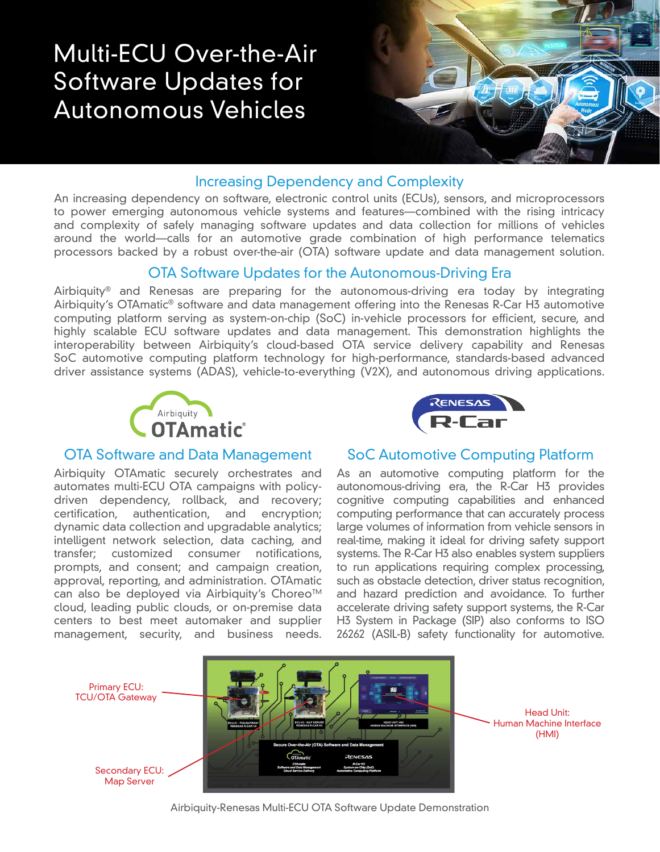## Multi-ECU Over-the-Air Software Updates for Autonomous Vehicles



#### Increasing Dependency and Complexity

An increasing dependency on software, electronic control units (ECUs), sensors, and microprocessors to power emerging autonomous vehicle systems and features—combined with the rising intricacy and complexity of safely managing software updates and data collection for millions of vehicles around the world—calls for an automotive grade combination of high performance telematics processors backed by a robust over-the-air (OTA) software update and data management solution.

#### OTA Software Updates for the Autonomous-Driving Era

Airbiquity® and Renesas are preparing for the autonomous-driving era today by integrating Airbiquity's OTAmatic® software and data management offering into the Renesas R-Car H3 automotive computing platform serving as system-on-chip (SoC) in-vehicle processors for efficient, secure, and highly scalable ECU software updates and data management. This demonstration highlights the interoperability between Airbiquity's cloud-based OTA service delivery capability and Renesas SoC automotive computing platform technology for high-performance, standards-based advanced driver assistance systems (ADAS), vehicle-to-everything (V2X), and autonomous driving applications.



# RENESAS

#### OTA Software and Data Management SoC Automotive Computing Platform

Airbiquity OTAmatic securely orchestrates and automates multi-ECU OTA campaigns with policydriven dependency, rollback, and recovery; certification, authentication, and encryption; dynamic data collection and upgradable analytics; intelligent network selection, data caching, and transfer; customized consumer notifications, prompts, and consent; and campaign creation, approval, reporting, and administration. OTAmatic can also be deployed via Airbiquity's Choreo<sup>™</sup> cloud, leading public clouds, or on-premise data centers to best meet automaker and supplier management, security, and business needs.

As an automotive computing platform for the autonomous-driving era, the R-Car H3 provides cognitive computing capabilities and enhanced computing performance that can accurately process large volumes of information from vehicle sensors in real-time, making it ideal for driving safety support systems. The R-Car H3 also enables system suppliers to run applications requiring complex processing, such as obstacle detection, driver status recognition, and hazard prediction and avoidance. To further accelerate driving safety support systems, the R-Car H3 System in Package (SIP) also conforms to ISO 26262 (ASIL-B) safety functionality for automotive.



Airbiquity-Renesas Multi-ECU OTA Software Update Demonstration